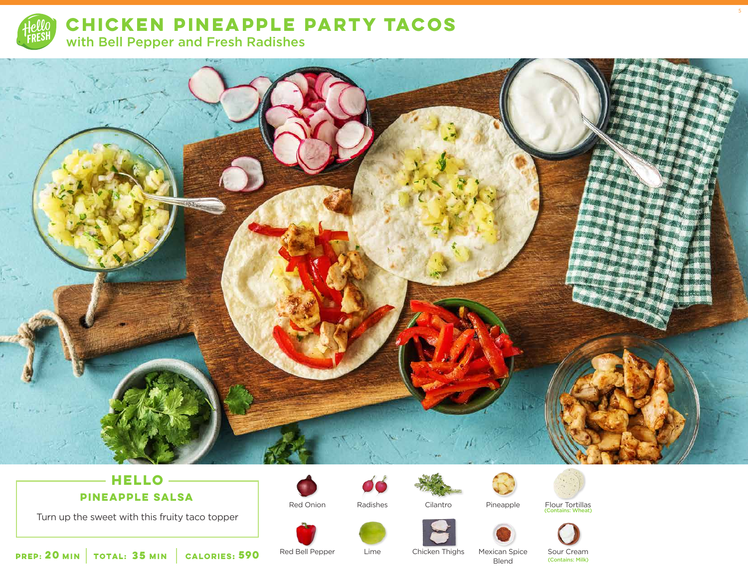

**CHICKEN PINEAPPLE PARTY TACOS**  with Bell Pepper and Fresh Radishes



## **HELLO PINEAPPLE SALSA**

Turn up the sweet with this fruity taco topper







Cilantro

Pineapple

Flour Tortillas (Contains: Wheat)

5



 **20 35 MIN MIN CALORIES:**

Red Bell Pepper

Lime Chicken Thighs

Mexican Spice Blend **590** Red Bell Pepper Lime Chicken Thighs Mexican Spice Sour Cream<br>Rlend (Contains: Milk)

Sour Cream<br>(Contains: Milk)